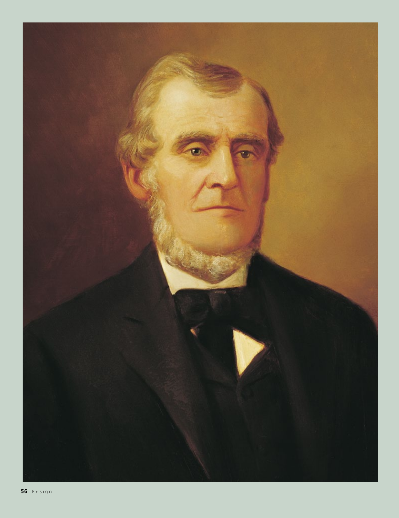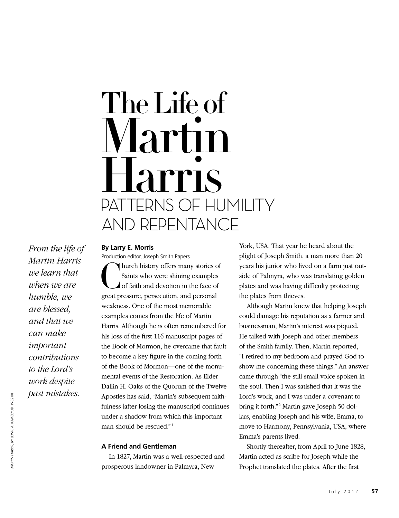# The Life of Martin Harris PATTERNS OF HUMILITY AND REPENTANCE

*From the life of Martin Harris we learn that when we are humble, we are blessed, and that we can make important contributions to the Lord's work despite past mistakes.*

# **By Larry E. Morris**

Production editor, Joseph Smith Papers

hurch history offers many stories of<br>Saints who were shining examples<br>of faith and devotion in the face of Saints who were shining examples of faith and devotion in the face of great pressure, persecution, and personal weakness. One of the most memorable examples comes from the life of Martin Harris. Although he is often remembered for his loss of the first 116 manuscript pages of the Book of Mormon, he overcame that fault to become a key figure in the coming forth of the Book of Mormon—one of the monumental events of the Restoration. As Elder Dallin H. Oaks of the Quorum of the Twelve Apostles has said, "Martin's subsequent faithfulness [after losing the manuscript] continues under a shadow from which this important man should be rescued."<sup>1</sup>

## **A Friend and Gentleman**

In 1827, Martin was a well-respected and prosperous landowner in Palmyra, New

York, USA. That year he heard about the plight of Joseph Smith, a man more than 20 years his junior who lived on a farm just outside of Palmyra, who was translating golden plates and was having difficulty protecting the plates from thieves.

Although Martin knew that helping Joseph could damage his reputation as a farmer and businessman, Martin's interest was piqued. He talked with Joseph and other members of the Smith family. Then, Martin reported, "I retired to my bedroom and prayed God to show me concerning these things." An answer came through "the still small voice spoken in the soul. Then I was satisfied that it was the Lord's work, and I was under a covenant to bring it forth."<sup>2</sup> Martin gave Joseph 50 dollars, enabling Joseph and his wife, Emma, to move to Harmony, Pennsylvania, USA, where Emma's parents lived.

Shortly thereafter, from April to June 1828, Martin acted as scribe for Joseph while the Prophet translated the plates. After the first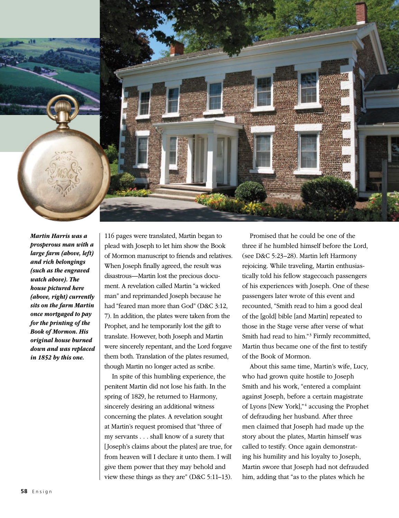

*Martin Harris was a prosperous man with a large farm (above, left) and rich belongings (such as the engraved watch above). The house pictured here (above, right) currently sits on the farm Martin once mortgaged to pay for the printing of the Book of Mormon. His original house burned down and was replaced in 1852 by this one.* 

116 pages were translated, Martin began to plead with Joseph to let him show the Book of Mormon manuscript to friends and relatives. When Joseph finally agreed, the result was disastrous—Martin lost the precious document. A revelation called Martin "a wicked man" and reprimanded Joseph because he had "feared man more than God" (D&C 3:12, 7). In addition, the plates were taken from the Prophet, and he temporarily lost the gift to translate. However, both Joseph and Martin were sincerely repentant, and the Lord forgave them both. Translation of the plates resumed, though Martin no longer acted as scribe.

In spite of this humbling experience, the penitent Martin did not lose his faith. In the spring of 1829, he returned to Harmony, sincerely desiring an additional witness concerning the plates. A revelation sought at Martin's request promised that "three of my servants . . . shall know of a surety that [Joseph's claims about the plates] are true, for from heaven will I declare it unto them. I will give them power that they may behold and view these things as they are" (D&C 5:11–13).

Promised that he could be one of the three if he humbled himself before the Lord, (see D&C 5:23–28). Martin left Harmony rejoicing. While traveling, Martin enthusiastically told his fellow stagecoach passengers of his experiences with Joseph. One of these passengers later wrote of this event and recounted, "Smith read to him a good deal of the [gold] bible [and Martin] repeated to those in the Stage verse after verse of what Smith had read to him."<sup>3</sup> Firmly recommitted, Martin thus became one of the first to testify of the Book of Mormon.

About this same time, Martin's wife, Lucy, who had grown quite hostile to Joseph Smith and his work, "entered a complaint against Joseph, before a certain magistrate of Lyons [New York],"<sup>4</sup> accusing the Prophet of defrauding her husband. After three men claimed that Joseph had made up the story about the plates, Martin himself was called to testify. Once again demonstrating his humility and his loyalty to Joseph, Martin swore that Joseph had not defrauded him, adding that "as to the plates which he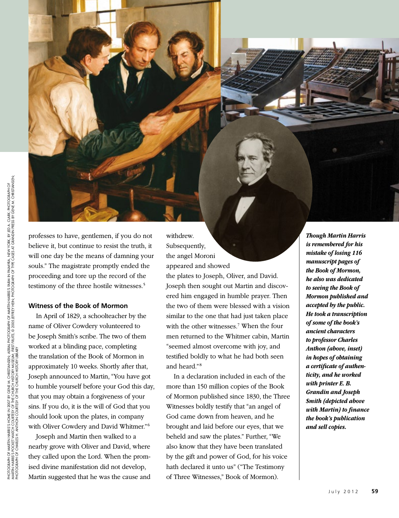professes to have, gentlemen, if you do not believe it, but continue to resist the truth, it will one day be the means of damning your souls." The magistrate promptly ended the proceeding and tore up the record of the testimony of the three hostile witnesses.<sup>5</sup>

# **Witness of the Book of Mormon**

In April of 1829, a schoolteacher by the name of Oliver Cowdery volunteered to be Joseph Smith's scribe. The two of them worked at a blinding pace, completing the translation of the Book of Mormon in approximately 10 weeks. Shortly after that, Joseph announced to Martin, "You have got to humble yourself before your God this day, that you may obtain a forgiveness of your sins. If you do, it is the will of God that you should look upon the plates, in company with Oliver Cowdery and David Whitmer."<sup>6</sup>

Joseph and Martin then walked to a nearby grove with Oliver and David, where they called upon the Lord. When the promised divine manifestation did not develop, Martin suggested that he was the cause and

withdrew. Subsequently, the angel Moroni appeared and showed the plates to Joseph, Oliver, and David. Joseph then sought out Martin and discovered him engaged in humble prayer. Then the two of them were blessed with a vision similar to the one that had just taken place with the other witnesses.<sup>7</sup> When the four men returned to the Whitmer cabin, Martin "seemed almost overcome with joy, and testified boldly to what he had both seen and heard."<sup>8</sup>

In a declaration included in each of the more than 150 million copies of the Book of Mormon published since 1830, the Three Witnesses boldly testify that "an angel of God came down from heaven, and he brought and laid before our eyes, that we beheld and saw the plates." Further, "We also know that they have been translated by the gift and power of God, for his voice hath declared it unto us" ("The Testimony of Three Witnesses," Book of Mormon).

*Though Martin Harris is remembered for his mistake of losing 116 manuscript pages of the Book of Mormon, he also was dedicated to seeing the Book of Mormon published and accepted by the public. He took a transcription of some of the book's ancient characters to professor Charles Anthon (above, inset) in hopes of obtaining a certificate of authenticity, and he worked with printer E. B. Grandin and Joseph Smith (depicted above with Martin) to finance the book's publication and sell copies.*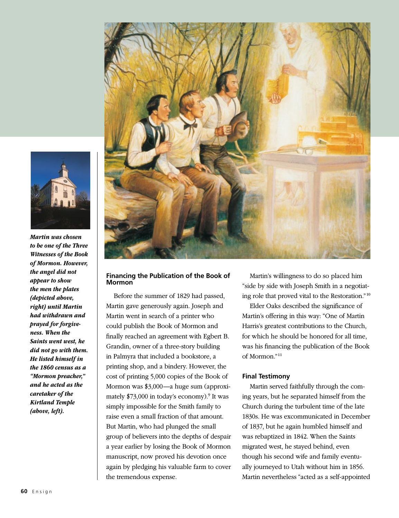

*Martin was chosen to be one of the Three Witnesses of the Book of Mormon. However, the angel did not appear to show the men the plates (depicted above, right) until Martin had withdrawn and prayed for forgiveness. When the Saints went west, he did not go with them. He listed himself in the 1860 census as a "Mormon preacher," and he acted as the caretaker of the Kirtland Temple (above, left).*



#### **Financing the Publication of the Book of Mormon**

Before the summer of 1829 had passed, Martin gave generously again. Joseph and Martin went in search of a printer who could publish the Book of Mormon and finally reached an agreement with Egbert B. Grandin, owner of a three-story building in Palmyra that included a bookstore, a printing shop, and a bindery. However, the cost of printing 5,000 copies of the Book of Mormon was \$3,000—a huge sum (approximately \$73,000 in today's economy).<sup>9</sup> It was simply impossible for the Smith family to raise even a small fraction of that amount. But Martin, who had plunged the small group of believers into the depths of despair a year earlier by losing the Book of Mormon manuscript, now proved his devotion once again by pledging his valuable farm to cover the tremendous expense.

Martin's willingness to do so placed him "side by side with Joseph Smith in a negotiating role that proved vital to the Restoration."<sup>10</sup>

Elder Oaks described the significance of Martin's offering in this way: "One of Martin Harris's greatest contributions to the Church, for which he should be honored for all time, was his financing the publication of the Book of Mormon $"^{11}$ 

## **Final Testimony**

Martin served faithfully through the coming years, but he separated himself from the Church during the turbulent time of the late 1830s. He was excommunicated in December of 1837, but he again humbled himself and was rebaptized in 1842. When the Saints migrated west, he stayed behind, even though his second wife and family eventually journeyed to Utah without him in 1856. Martin nevertheless "acted as a self-appointed